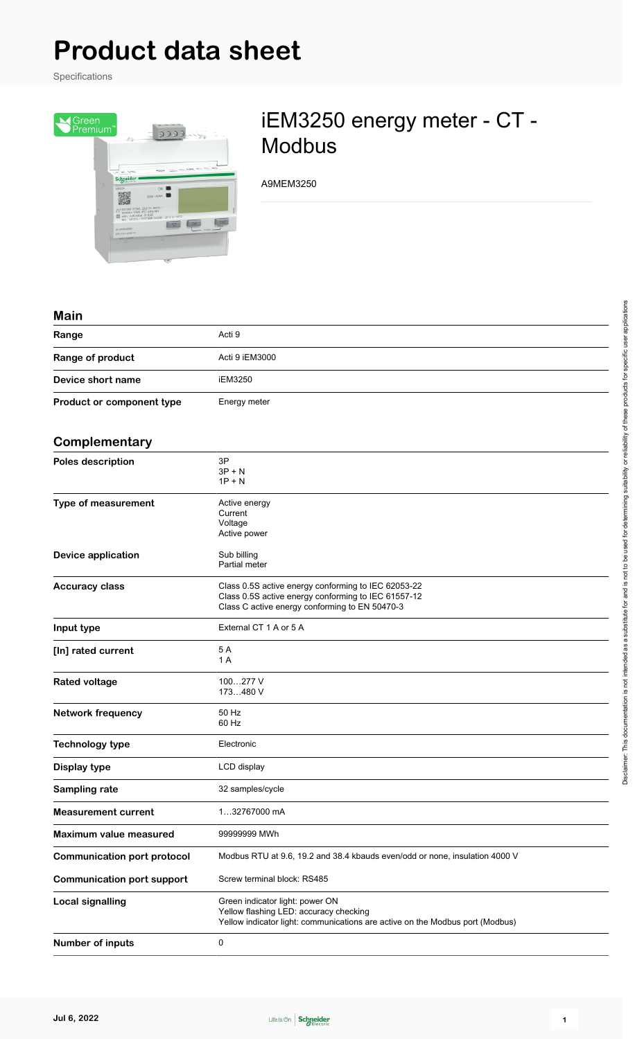# **Product data sheet**

Specifications



## iEM3250 energy meter - CT - Modbus

A9MEM3250

#### **Main**

| main                      |                |
|---------------------------|----------------|
| Range                     | Acti 9         |
| Range of product          | Acti 9 iEM3000 |
| Device short name         | iEM3250        |
| Product or component type | Energy meter   |

#### **Complementary**

| <b>UUIIIµiciiiciitai y</b>         |                                                                                                                                                              |  |  |  |  |
|------------------------------------|--------------------------------------------------------------------------------------------------------------------------------------------------------------|--|--|--|--|
| Poles description                  | 3P<br>$3P + N$<br>$1P + N$                                                                                                                                   |  |  |  |  |
| <b>Type of measurement</b>         | Active energy<br>Current<br>Voltage<br>Active power                                                                                                          |  |  |  |  |
| <b>Device application</b>          | Sub billing<br>Partial meter                                                                                                                                 |  |  |  |  |
| <b>Accuracy class</b>              | Class 0.5S active energy conforming to IEC 62053-22<br>Class 0.5S active energy conforming to IEC 61557-12<br>Class C active energy conforming to EN 50470-3 |  |  |  |  |
| Input type                         | External CT 1 A or 5 A                                                                                                                                       |  |  |  |  |
| [In] rated current                 | 5A<br>1 A                                                                                                                                                    |  |  |  |  |
| <b>Rated voltage</b>               | 100277 V<br>173480 V                                                                                                                                         |  |  |  |  |
| <b>Network frequency</b>           | 50 Hz<br>60 Hz                                                                                                                                               |  |  |  |  |
| <b>Technology type</b>             | Electronic                                                                                                                                                   |  |  |  |  |
| Display type                       | LCD display                                                                                                                                                  |  |  |  |  |
| Sampling rate                      | 32 samples/cycle                                                                                                                                             |  |  |  |  |
| <b>Measurement current</b>         | 132767000 mA                                                                                                                                                 |  |  |  |  |
| Maximum value measured             | 99999999 MWh                                                                                                                                                 |  |  |  |  |
| <b>Communication port protocol</b> | Modbus RTU at 9.6, 19.2 and 38.4 kbauds even/odd or none, insulation 4000 V                                                                                  |  |  |  |  |
| <b>Communication port support</b>  | Screw terminal block: RS485                                                                                                                                  |  |  |  |  |
| <b>Local signalling</b>            | Green indicator light: power ON<br>Yellow flashing LED: accuracy checking<br>Yellow indicator light: communications are active on the Modbus port (Modbus)   |  |  |  |  |
| <b>Number of inputs</b>            | $\mathbf 0$                                                                                                                                                  |  |  |  |  |

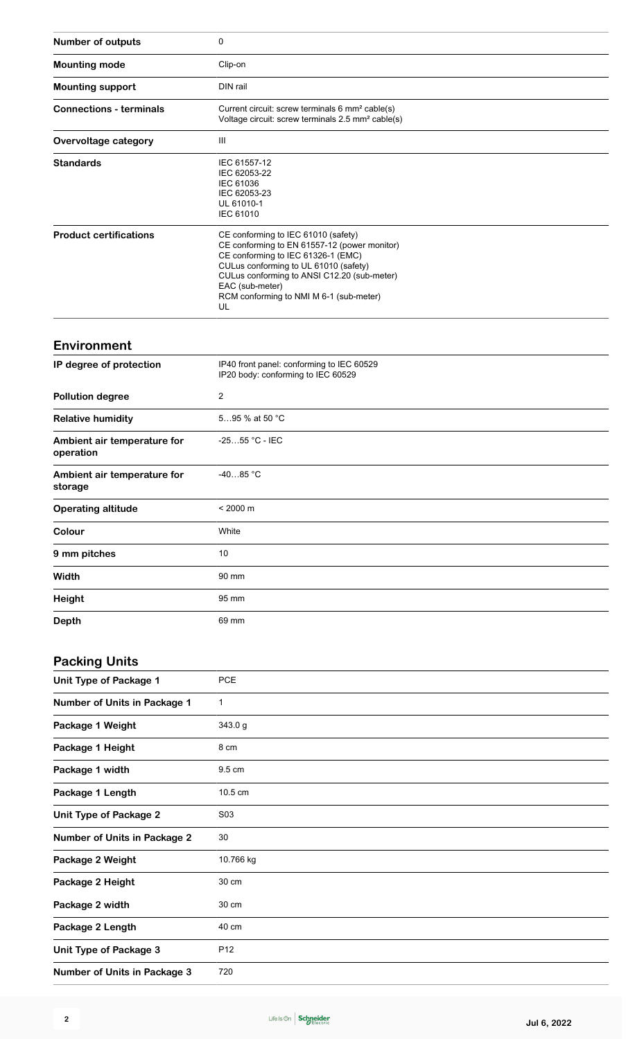| Number of outputs                        | 0                                                                                                                                                                                                                                                                                     |  |  |  |  |
|------------------------------------------|---------------------------------------------------------------------------------------------------------------------------------------------------------------------------------------------------------------------------------------------------------------------------------------|--|--|--|--|
| <b>Mounting mode</b>                     | Clip-on                                                                                                                                                                                                                                                                               |  |  |  |  |
| <b>Mounting support</b>                  | DIN rail                                                                                                                                                                                                                                                                              |  |  |  |  |
| <b>Connections - terminals</b>           | Current circuit: screw terminals 6 mm <sup>2</sup> cable(s)<br>Voltage circuit: screw terminals 2.5 mm <sup>2</sup> cable(s)                                                                                                                                                          |  |  |  |  |
| Overvoltage category                     | Ш                                                                                                                                                                                                                                                                                     |  |  |  |  |
| <b>Standards</b>                         | IEC 61557-12<br>IEC 62053-22<br>IEC 61036<br>IEC 62053-23<br>UL 61010-1<br><b>IEC 61010</b>                                                                                                                                                                                           |  |  |  |  |
| <b>Product certifications</b>            | CE conforming to IEC 61010 (safety)<br>CE conforming to EN 61557-12 (power monitor)<br>CE conforming to IEC 61326-1 (EMC)<br>CULus conforming to UL 61010 (safety)<br>CULus conforming to ANSI C12.20 (sub-meter)<br>EAC (sub-meter)<br>RCM conforming to NMI M 6-1 (sub-meter)<br>UL |  |  |  |  |
| <b>Environment</b>                       |                                                                                                                                                                                                                                                                                       |  |  |  |  |
| IP degree of protection                  | IP40 front panel: conforming to IEC 60529<br>IP20 body: conforming to IEC 60529                                                                                                                                                                                                       |  |  |  |  |
| <b>Pollution degree</b>                  | $\overline{2}$                                                                                                                                                                                                                                                                        |  |  |  |  |
| <b>Relative humidity</b>                 | 595 % at 50 °C                                                                                                                                                                                                                                                                        |  |  |  |  |
| Ambient air temperature for<br>operation | -2555 °C - IEC                                                                                                                                                                                                                                                                        |  |  |  |  |
| Ambient air temperature for<br>storage   | $-4085 °C$                                                                                                                                                                                                                                                                            |  |  |  |  |
| <b>Operating altitude</b>                | $< 2000 \text{ m}$                                                                                                                                                                                                                                                                    |  |  |  |  |
| Colour                                   | White                                                                                                                                                                                                                                                                                 |  |  |  |  |
| 9 mm pitches                             | 10                                                                                                                                                                                                                                                                                    |  |  |  |  |
| Width                                    | 90 mm                                                                                                                                                                                                                                                                                 |  |  |  |  |
| Height                                   | 95 mm                                                                                                                                                                                                                                                                                 |  |  |  |  |
| <b>Depth</b>                             | 69 mm                                                                                                                                                                                                                                                                                 |  |  |  |  |
| <b>Packing Units</b>                     |                                                                                                                                                                                                                                                                                       |  |  |  |  |
| <b>Unit Type of Package 1</b>            | PCE                                                                                                                                                                                                                                                                                   |  |  |  |  |
| Number of Units in Package 1             | $\mathbf{1}$                                                                                                                                                                                                                                                                          |  |  |  |  |
| Package 1 Weight                         | 343.0 g                                                                                                                                                                                                                                                                               |  |  |  |  |
| Package 1 Height                         | 8 cm                                                                                                                                                                                                                                                                                  |  |  |  |  |
| Package 1 width                          | 9.5 cm                                                                                                                                                                                                                                                                                |  |  |  |  |
| Package 1 Length                         | 10.5 cm                                                                                                                                                                                                                                                                               |  |  |  |  |
| <b>Unit Type of Package 2</b>            | S03                                                                                                                                                                                                                                                                                   |  |  |  |  |
| <b>Number of Units in Package 2</b>      | 30                                                                                                                                                                                                                                                                                    |  |  |  |  |
| Package 2 Weight                         | 10.766 kg                                                                                                                                                                                                                                                                             |  |  |  |  |
| Package 2 Height                         | 30 cm                                                                                                                                                                                                                                                                                 |  |  |  |  |
| Package 2 width                          | 30 cm                                                                                                                                                                                                                                                                                 |  |  |  |  |
| Package 2 Length                         | 40 cm                                                                                                                                                                                                                                                                                 |  |  |  |  |
| <b>Unit Type of Package 3</b>            | P <sub>12</sub>                                                                                                                                                                                                                                                                       |  |  |  |  |

**Number of Units in Package 3** 720